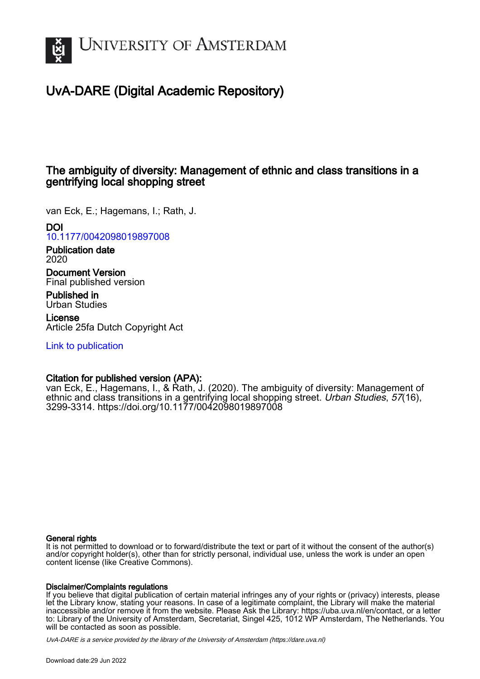

# UvA-DARE (Digital Academic Repository)

# The ambiguity of diversity: Management of ethnic and class transitions in a gentrifying local shopping street

van Eck, E.; Hagemans, I.; Rath, J.

DOI

[10.1177/0042098019897008](https://doi.org/10.1177/0042098019897008)

Publication date 2020

Document Version Final published version

Published in Urban Studies

License Article 25fa Dutch Copyright Act

[Link to publication](https://dare.uva.nl/personal/pure/en/publications/the-ambiguity-of-diversity-management-of-ethnic-and-class-transitions-in-a-gentrifying-local-shopping-street(04459a35-b49c-44d4-b6f0-dd277a7e2014).html)

# Citation for published version (APA):

van Eck, E., Hagemans, I., & Rath, J. (2020). The ambiguity of diversity: Management of ethnic and class transitions in a gentrifying local shopping street. Urban Studies, 57(16), 3299-3314.<https://doi.org/10.1177/0042098019897008>

### General rights

It is not permitted to download or to forward/distribute the text or part of it without the consent of the author(s) and/or copyright holder(s), other than for strictly personal, individual use, unless the work is under an open content license (like Creative Commons).

#### Disclaimer/Complaints regulations

If you believe that digital publication of certain material infringes any of your rights or (privacy) interests, please let the Library know, stating your reasons. In case of a legitimate complaint, the Library will make the material inaccessible and/or remove it from the website. Please Ask the Library: https://uba.uva.nl/en/contact, or a letter to: Library of the University of Amsterdam, Secretariat, Singel 425, 1012 WP Amsterdam, The Netherlands. You will be contacted as soon as possible.

UvA-DARE is a service provided by the library of the University of Amsterdam (http*s*://dare.uva.nl)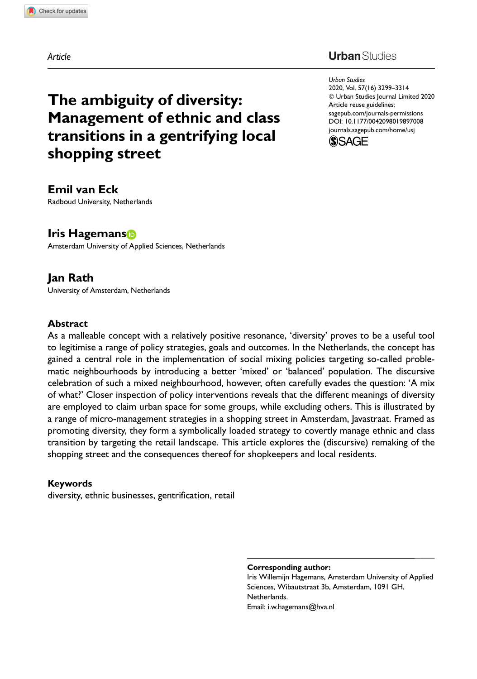Article

### **Urban** Studies

Urban Studies 2020, Vol. 57(16) 3299–3314 - Urban Studies Journal Limited 2020 Article reuse guidelines: [sagepub.com/journals-permissions](https://uk.sagepub.com/en-gb/journals-permissions) [DOI: 10.1177/0042098019897008](https://doi.org/10.1177/0042098019897008) <journals.sagepub.com/home/usj>



#### Emil van Eck Radboud University, Netherlands

shopping street

Iris Hagemans

Amsterdam University of Applied Sciences, Netherlands

The ambiguity of diversity:

Management of ethnic and class transitions in a gentrifying local

# Jan Rath

University of Amsterdam, Netherlands

#### Abstract

As a malleable concept with a relatively positive resonance, 'diversity' proves to be a useful tool to legitimise a range of policy strategies, goals and outcomes. In the Netherlands, the concept has gained a central role in the implementation of social mixing policies targeting so-called problematic neighbourhoods by introducing a better 'mixed' or 'balanced' population. The discursive celebration of such a mixed neighbourhood, however, often carefully evades the question: 'A mix of what?' Closer inspection of policy interventions reveals that the different meanings of diversity are employed to claim urban space for some groups, while excluding others. This is illustrated by a range of micro-management strategies in a shopping street in Amsterdam, Javastraat. Framed as promoting diversity, they form a symbolically loaded strategy to covertly manage ethnic and class transition by targeting the retail landscape. This article explores the (discursive) remaking of the shopping street and the consequences thereof for shopkeepers and local residents.

#### Keywords

diversity, ethnic businesses, gentrification, retail

Corresponding author:

Iris Willemijn Hagemans, Amsterdam University of Applied Sciences, Wibautstraat 3b, Amsterdam, 1091 GH, Netherlands. Email: i.w.hagemans@hva.nl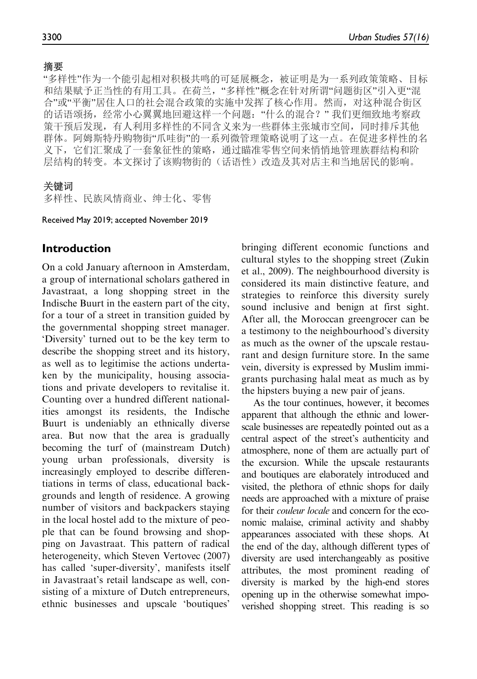#### 摘要

"多样性"作为一个能引起相对积极共鸣的可延展概念, 被证明是为一系列政策策略、目标 和结果赋予正当性的有用工具。在荷兰,"多样性"概念在针对所谓"问题街区"引入更"混 合"或"平衡"居住人口的社会混合政策的实施中发挥了核心作用。然而, 对这种混合街区 的话语颂扬, 经常小心翼翼地回避这样一个问题: "什么的混合?"我们更细致地考察政 策干预后发现, 有人利用多样性的不同含义来为一些群体主张城市空间, 同时排斥其他 群体。阿姆斯特丹购物街"爪哇街"的一系列微管理策略说明了这一点。在促进多样性的名 义下,它们汇聚成了一套象征性的策略,通过瞄准零售空间来悄悄地管理族群结构和阶 层结构的转变。本文探讨了该购物街的(话语性)改造及其对店主和当地居民的影响。

#### 关键词

多样性、民族风情商业、绅士化、零售

Received May 2019; accepted November 2019

## Introduction

On a cold January afternoon in Amsterdam, a group of international scholars gathered in Javastraat, a long shopping street in the Indische Buurt in the eastern part of the city, for a tour of a street in transition guided by the governmental shopping street manager. 'Diversity' turned out to be the key term to describe the shopping street and its history, as well as to legitimise the actions undertaken by the municipality, housing associations and private developers to revitalise it. Counting over a hundred different nationalities amongst its residents, the Indische Buurt is undeniably an ethnically diverse area. But now that the area is gradually becoming the turf of (mainstream Dutch) young urban professionals, diversity is increasingly employed to describe differentiations in terms of class, educational backgrounds and length of residence. A growing number of visitors and backpackers staying in the local hostel add to the mixture of people that can be found browsing and shopping on Javastraat. This pattern of radical heterogeneity, which Steven Vertovec (2007) has called 'super-diversity', manifests itself in Javastraat's retail landscape as well, consisting of a mixture of Dutch entrepreneurs, ethnic businesses and upscale 'boutiques'

bringing different economic functions and cultural styles to the shopping street (Zukin et al., 2009). The neighbourhood diversity is considered its main distinctive feature, and strategies to reinforce this diversity surely sound inclusive and benign at first sight. After all, the Moroccan greengrocer can be a testimony to the neighbourhood's diversity as much as the owner of the upscale restaurant and design furniture store. In the same vein, diversity is expressed by Muslim immigrants purchasing halal meat as much as by the hipsters buying a new pair of jeans.

As the tour continues, however, it becomes apparent that although the ethnic and lowerscale businesses are repeatedly pointed out as a central aspect of the street's authenticity and atmosphere, none of them are actually part of the excursion. While the upscale restaurants and boutiques are elaborately introduced and visited, the plethora of ethnic shops for daily needs are approached with a mixture of praise for their couleur locale and concern for the economic malaise, criminal activity and shabby appearances associated with these shops. At the end of the day, although different types of diversity are used interchangeably as positive attributes, the most prominent reading of diversity is marked by the high-end stores opening up in the otherwise somewhat impoverished shopping street. This reading is so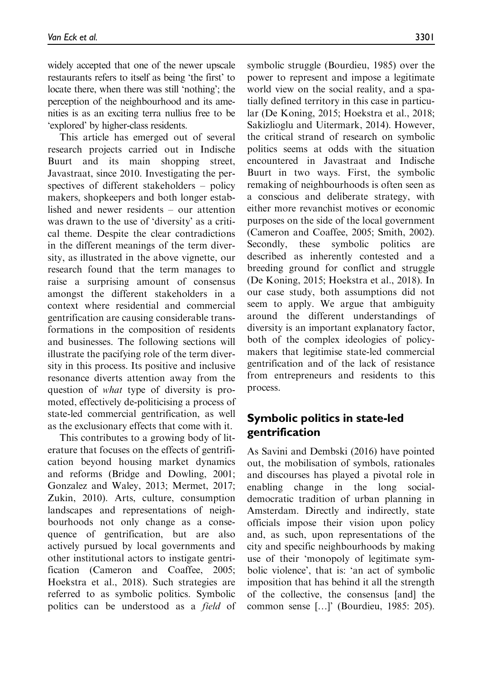widely accepted that one of the newer upscale restaurants refers to itself as being 'the first' to locate there, when there was still 'nothing'; the perception of the neighbourhood and its amenities is as an exciting terra nullius free to be 'explored' by higher-class residents.

This article has emerged out of several research projects carried out in Indische Buurt and its main shopping street, Javastraat, since 2010. Investigating the perspectives of different stakeholders – policy makers, shopkeepers and both longer established and newer residents – our attention was drawn to the use of 'diversity' as a critical theme. Despite the clear contradictions in the different meanings of the term diversity, as illustrated in the above vignette, our research found that the term manages to raise a surprising amount of consensus amongst the different stakeholders in a context where residential and commercial gentrification are causing considerable transformations in the composition of residents and businesses. The following sections will illustrate the pacifying role of the term diversity in this process. Its positive and inclusive resonance diverts attention away from the question of what type of diversity is promoted, effectively de-politicising a process of state-led commercial gentrification, as well as the exclusionary effects that come with it.

This contributes to a growing body of literature that focuses on the effects of gentrification beyond housing market dynamics and reforms (Bridge and Dowling, 2001; Gonzalez and Waley, 2013; Mermet, 2017; Zukin, 2010). Arts, culture, consumption landscapes and representations of neighbourhoods not only change as a consequence of gentrification, but are also actively pursued by local governments and other institutional actors to instigate gentrification (Cameron and Coaffee, 2005; Hoekstra et al., 2018). Such strategies are referred to as symbolic politics. Symbolic politics can be understood as a field of symbolic struggle (Bourdieu, 1985) over the power to represent and impose a legitimate world view on the social reality, and a spatially defined territory in this case in particular (De Koning, 2015; Hoekstra et al., 2018; Sakizlioglu and Uitermark, 2014). However, the critical strand of research on symbolic politics seems at odds with the situation encountered in Javastraat and Indische Buurt in two ways. First, the symbolic remaking of neighbourhoods is often seen as a conscious and deliberate strategy, with either more revanchist motives or economic purposes on the side of the local government (Cameron and Coaffee, 2005; Smith, 2002). Secondly, these symbolic politics are described as inherently contested and a breeding ground for conflict and struggle (De Koning, 2015; Hoekstra et al., 2018). In our case study, both assumptions did not seem to apply. We argue that ambiguity around the different understandings of diversity is an important explanatory factor, both of the complex ideologies of policymakers that legitimise state-led commercial gentrification and of the lack of resistance from entrepreneurs and residents to this process.

# Symbolic politics in state-led gentrification

As Savini and Dembski (2016) have pointed out, the mobilisation of symbols, rationales and discourses has played a pivotal role in enabling change in the long socialdemocratic tradition of urban planning in Amsterdam. Directly and indirectly, state officials impose their vision upon policy and, as such, upon representations of the city and specific neighbourhoods by making use of their 'monopoly of legitimate symbolic violence', that is: 'an act of symbolic imposition that has behind it all the strength of the collective, the consensus [and] the common sense [...]' (Bourdieu, 1985: 205).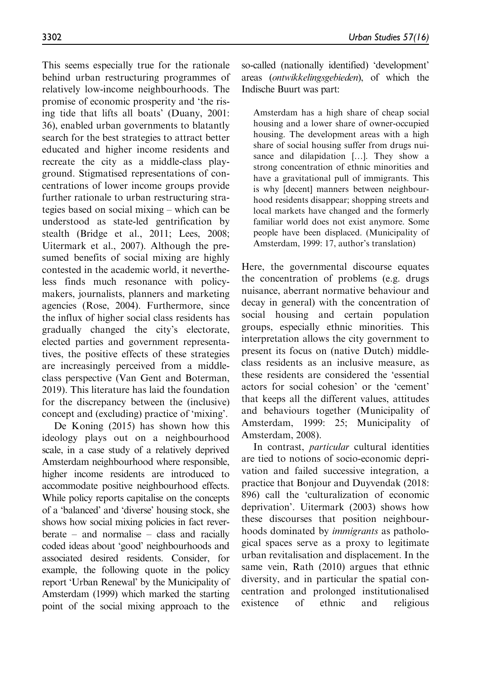This seems especially true for the rationale behind urban restructuring programmes of relatively low-income neighbourhoods. The promise of economic prosperity and 'the rising tide that lifts all boats' (Duany, 2001: 36), enabled urban governments to blatantly search for the best strategies to attract better educated and higher income residents and recreate the city as a middle-class playground. Stigmatised representations of concentrations of lower income groups provide further rationale to urban restructuring strategies based on social mixing – which can be understood as state-led gentrification by stealth (Bridge et al., 2011; Lees, 2008; Uitermark et al., 2007). Although the presumed benefits of social mixing are highly contested in the academic world, it nevertheless finds much resonance with policymakers, journalists, planners and marketing agencies (Rose, 2004). Furthermore, since the influx of higher social class residents has gradually changed the city's electorate, elected parties and government representatives, the positive effects of these strategies are increasingly perceived from a middleclass perspective (Van Gent and Boterman, 2019). This literature has laid the foundation for the discrepancy between the (inclusive) concept and (excluding) practice of 'mixing'.

De Koning (2015) has shown how this ideology plays out on a neighbourhood scale, in a case study of a relatively deprived Amsterdam neighbourhood where responsible, higher income residents are introduced to accommodate positive neighbourhood effects. While policy reports capitalise on the concepts of a 'balanced' and 'diverse' housing stock, she shows how social mixing policies in fact reverberate – and normalise – class and racially coded ideas about 'good' neighbourhoods and associated desired residents. Consider, for example, the following quote in the policy report 'Urban Renewal' by the Municipality of Amsterdam (1999) which marked the starting point of the social mixing approach to the so-called (nationally identified) 'development' areas (ontwikkelingsgebieden), of which the Indische Buurt was part:

Amsterdam has a high share of cheap social housing and a lower share of owner-occupied housing. The development areas with a high share of social housing suffer from drugs nuisance and dilapidation [...]. They show a strong concentration of ethnic minorities and have a gravitational pull of immigrants. This is why [decent] manners between neighbourhood residents disappear; shopping streets and local markets have changed and the formerly familiar world does not exist anymore. Some people have been displaced. (Municipality of Amsterdam, 1999: 17, author's translation)

Here, the governmental discourse equates the concentration of problems (e.g. drugs nuisance, aberrant normative behaviour and decay in general) with the concentration of social housing and certain population groups, especially ethnic minorities. This interpretation allows the city government to present its focus on (native Dutch) middleclass residents as an inclusive measure, as these residents are considered the 'essential actors for social cohesion' or the 'cement' that keeps all the different values, attitudes and behaviours together (Municipality of Amsterdam, 1999: 25; Municipality of Amsterdam, 2008).

In contrast, particular cultural identities are tied to notions of socio-economic deprivation and failed successive integration, a practice that Bonjour and Duyvendak (2018: 896) call the 'culturalization of economic deprivation'. Uitermark (2003) shows how these discourses that position neighbourhoods dominated by immigrants as pathological spaces serve as a proxy to legitimate urban revitalisation and displacement. In the same vein, Rath (2010) argues that ethnic diversity, and in particular the spatial concentration and prolonged institutionalised existence of ethnic and religious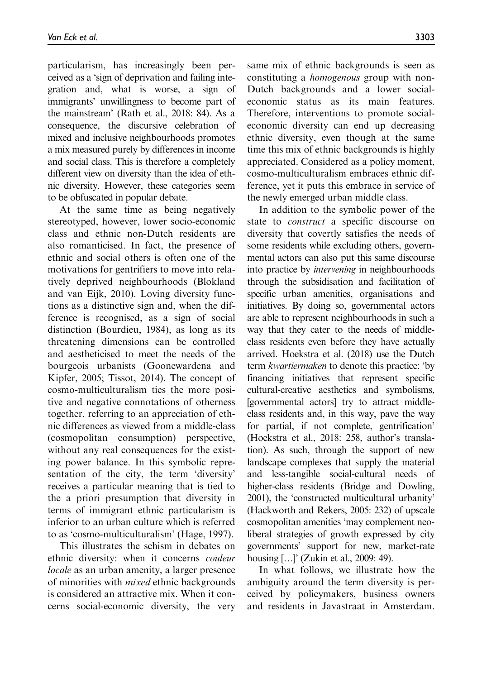particularism, has increasingly been perceived as a 'sign of deprivation and failing integration and, what is worse, a sign of immigrants' unwillingness to become part of the mainstream' (Rath et al., 2018: 84). As a consequence, the discursive celebration of mixed and inclusive neighbourhoods promotes a mix measured purely by differences in income and social class. This is therefore a completely different view on diversity than the idea of ethnic diversity. However, these categories seem to be obfuscated in popular debate.

At the same time as being negatively stereotyped, however, lower socio-economic class and ethnic non-Dutch residents are also romanticised. In fact, the presence of ethnic and social others is often one of the motivations for gentrifiers to move into relatively deprived neighbourhoods (Blokland and van Eijk, 2010). Loving diversity functions as a distinctive sign and, when the difference is recognised, as a sign of social distinction (Bourdieu, 1984), as long as its threatening dimensions can be controlled and aestheticised to meet the needs of the bourgeois urbanists (Goonewardena and Kipfer, 2005; Tissot, 2014). The concept of cosmo-multiculturalism ties the more positive and negative connotations of otherness together, referring to an appreciation of ethnic differences as viewed from a middle-class (cosmopolitan consumption) perspective, without any real consequences for the existing power balance. In this symbolic representation of the city, the term 'diversity' receives a particular meaning that is tied to the a priori presumption that diversity in terms of immigrant ethnic particularism is inferior to an urban culture which is referred to as 'cosmo-multiculturalism' (Hage, 1997).

This illustrates the schism in debates on ethnic diversity: when it concerns couleur locale as an urban amenity, a larger presence of minorities with mixed ethnic backgrounds is considered an attractive mix. When it concerns social-economic diversity, the very same mix of ethnic backgrounds is seen as constituting a homogenous group with non-Dutch backgrounds and a lower socialeconomic status as its main features. Therefore, interventions to promote socialeconomic diversity can end up decreasing ethnic diversity, even though at the same time this mix of ethnic backgrounds is highly appreciated. Considered as a policy moment, cosmo-multiculturalism embraces ethnic difference, yet it puts this embrace in service of the newly emerged urban middle class.

In addition to the symbolic power of the state to construct a specific discourse on diversity that covertly satisfies the needs of some residents while excluding others, governmental actors can also put this same discourse into practice by intervening in neighbourhoods through the subsidisation and facilitation of specific urban amenities, organisations and initiatives. By doing so, governmental actors are able to represent neighbourhoods in such a way that they cater to the needs of middleclass residents even before they have actually arrived. Hoekstra et al. (2018) use the Dutch term kwartiermaken to denote this practice: 'by financing initiatives that represent specific cultural-creative aesthetics and symbolisms, [governmental actors] try to attract middleclass residents and, in this way, pave the way for partial, if not complete, gentrification' (Hoekstra et al., 2018: 258, author's translation). As such, through the support of new landscape complexes that supply the material and less-tangible social-cultural needs of higher-class residents (Bridge and Dowling, 2001), the 'constructed multicultural urbanity' (Hackworth and Rekers, 2005: 232) of upscale cosmopolitan amenities 'may complement neoliberal strategies of growth expressed by city governments' support for new, market-rate housing [...]' (Zukin et al., 2009: 49).

In what follows, we illustrate how the ambiguity around the term diversity is perceived by policymakers, business owners and residents in Javastraat in Amsterdam.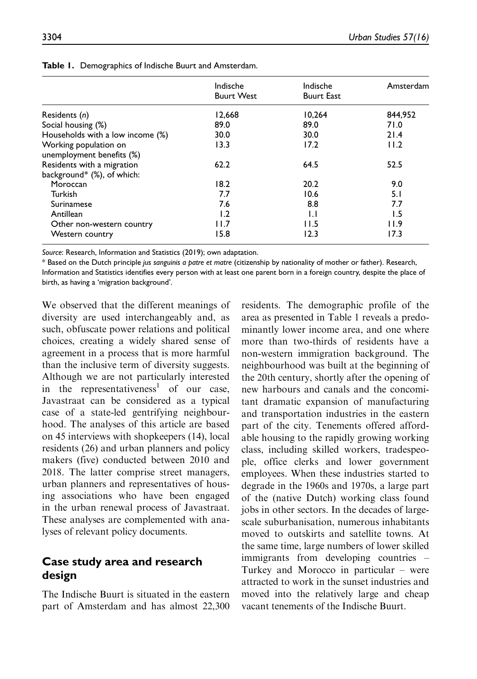| 04<br>$\sim$ |  |  |
|--------------|--|--|
|              |  |  |
|              |  |  |

|                                                          | Indische<br><b>Buurt West</b> | Indische<br><b>Buurt East</b> | Amsterdam |
|----------------------------------------------------------|-------------------------------|-------------------------------|-----------|
| Residents (n)                                            | 12,668                        | 10,264                        | 844,952   |
| Social housing (%)                                       | 89.0                          | 89.0                          | 71.0      |
| Households with a low income (%)                         | 30.0                          | 30.0                          | 21.4      |
| Working population on<br>unemployment benefits (%)       | 13.3                          | 17.2                          | 11.2      |
| Residents with a migration<br>background* (%), of which: | 62.2                          | 64.5                          | 52.5      |
| Moroccan                                                 | 18.2                          | 20.2                          | 9.0       |
| Turkish                                                  | 7.7                           | 10.6                          | 5.1       |
| Surinamese                                               | 7.6                           | 8.8                           | 7.7       |
| Antillean                                                | 1.2                           | $\mathsf{L}$                  | 1.5       |
| Other non-western country                                | l I.7                         | 11.5                          | 11.9      |
| Western country                                          | 15.8                          | 12.3                          | 17.3      |

Table 1. Demographics of Indische Buurt and Amsterdam.

Source: Research, Information and Statistics (2019); own adaptation.

\* Based on the Dutch principle jus sanguinis a patre et matre (citizenship by nationality of mother or father). Research, Information and Statistics identifies every person with at least one parent born in a foreign country, despite the place of birth, as having a 'migration background'.

We observed that the different meanings of diversity are used interchangeably and, as such, obfuscate power relations and political choices, creating a widely shared sense of agreement in a process that is more harmful than the inclusive term of diversity suggests. Although we are not particularly interested in the representativeness<sup>1</sup> of our case, Javastraat can be considered as a typical case of a state-led gentrifying neighbourhood. The analyses of this article are based on 45 interviews with shopkeepers (14), local residents (26) and urban planners and policy makers (five) conducted between 2010 and 2018. The latter comprise street managers, urban planners and representatives of housing associations who have been engaged in the urban renewal process of Javastraat. These analyses are complemented with analyses of relevant policy documents.

# Case study area and research design

The Indische Buurt is situated in the eastern part of Amsterdam and has almost 22,300 residents. The demographic profile of the area as presented in Table 1 reveals a predominantly lower income area, and one where more than two-thirds of residents have a non-western immigration background. The neighbourhood was built at the beginning of the 20th century, shortly after the opening of new harbours and canals and the concomitant dramatic expansion of manufacturing and transportation industries in the eastern part of the city. Tenements offered affordable housing to the rapidly growing working class, including skilled workers, tradespeople, office clerks and lower government employees. When these industries started to degrade in the 1960s and 1970s, a large part of the (native Dutch) working class found jobs in other sectors. In the decades of largescale suburbanisation, numerous inhabitants moved to outskirts and satellite towns. At the same time, large numbers of lower skilled immigrants from developing countries – Turkey and Morocco in particular – were attracted to work in the sunset industries and moved into the relatively large and cheap vacant tenements of the Indische Buurt.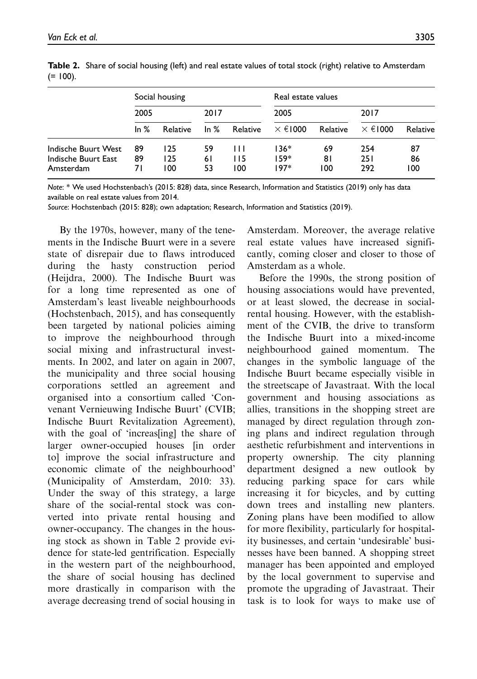| $\sim$ | ۹<br>w |
|--------|--------|
|--------|--------|

|                                                         | Social housing  |                   |                | Real estate values |                      |                 |                   |                 |
|---------------------------------------------------------|-----------------|-------------------|----------------|--------------------|----------------------|-----------------|-------------------|-----------------|
|                                                         | 2005            |                   | 2017           |                    | 2005                 |                 | 2017              |                 |
|                                                         | In $%$          | Relative          | In $%$         | Relative           | $\times \in 1000$    | Relative        | $\times \in 1000$ | Relative        |
| Indische Buurt West<br>Indische Buurt East<br>Amsterdam | 89<br>89<br>7 I | 125<br>125<br>100 | 59<br>61<br>53 | Ш<br>115<br>100    | 136*<br>159*<br>197* | 69<br>81<br>100 | 254<br>251<br>292 | 87<br>86<br>100 |

Table 2. Share of social housing (left) and real estate values of total stock (right) relative to Amsterdam  $(= 100).$ 

Note: \* We used Hochstenbach's (2015: 828) data, since Research, Information and Statistics (2019) only has data available on real estate values from 2014.

Source: Hochstenbach (2015: 828); own adaptation; Research, Information and Statistics (2019).

By the 1970s, however, many of the tenements in the Indische Buurt were in a severe state of disrepair due to flaws introduced during the hasty construction period (Heijdra, 2000). The Indische Buurt was for a long time represented as one of Amsterdam's least liveable neighbourhoods (Hochstenbach, 2015), and has consequently been targeted by national policies aiming to improve the neighbourhood through social mixing and infrastructural investments. In 2002, and later on again in 2007, the municipality and three social housing corporations settled an agreement and organised into a consortium called 'Convenant Vernieuwing Indische Buurt' (CVIB; Indische Buurt Revitalization Agreement), with the goal of 'increas[ing] the share of larger owner-occupied houses [in order to] improve the social infrastructure and economic climate of the neighbourhood' (Municipality of Amsterdam, 2010: 33). Under the sway of this strategy, a large share of the social-rental stock was converted into private rental housing and owner-occupancy. The changes in the housing stock as shown in Table 2 provide evidence for state-led gentrification. Especially in the western part of the neighbourhood, the share of social housing has declined more drastically in comparison with the average decreasing trend of social housing in

Amsterdam. Moreover, the average relative real estate values have increased significantly, coming closer and closer to those of Amsterdam as a whole.

Before the 1990s, the strong position of housing associations would have prevented, or at least slowed, the decrease in socialrental housing. However, with the establishment of the CVIB, the drive to transform the Indische Buurt into a mixed-income neighbourhood gained momentum. The changes in the symbolic language of the Indische Buurt became especially visible in the streetscape of Javastraat. With the local government and housing associations as allies, transitions in the shopping street are managed by direct regulation through zoning plans and indirect regulation through aesthetic refurbishment and interventions in property ownership. The city planning department designed a new outlook by reducing parking space for cars while increasing it for bicycles, and by cutting down trees and installing new planters. Zoning plans have been modified to allow for more flexibility, particularly for hospitality businesses, and certain 'undesirable' businesses have been banned. A shopping street manager has been appointed and employed by the local government to supervise and promote the upgrading of Javastraat. Their task is to look for ways to make use of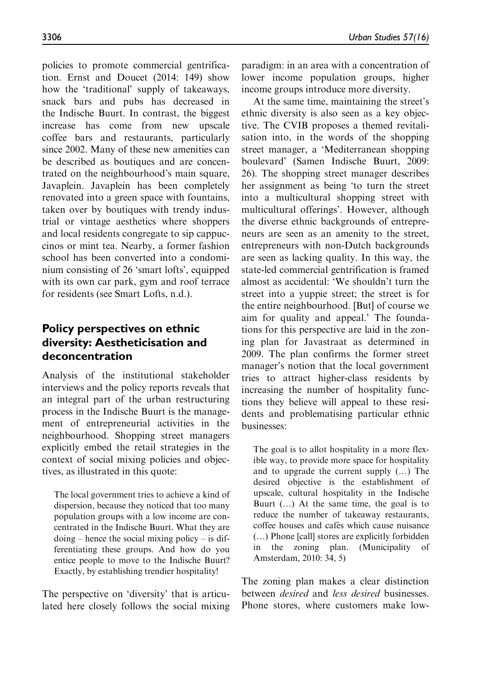policies to promote commercial gentrification. Ernst and Doucet (2014: 149) show how the 'traditional' supply of takeaways, snack bars and pubs has decreased in the Indische Buurt. In contrast, the biggest increase has come from new upscale coffee bars and restaurants, particularly since 2002. Many of these new amenities can be described as boutiques and are concentrated on the neighbourhood's main square, Javaplein. Javaplein has been completely renovated into a green space with fountains, taken over by boutiques with trendy industrial or vintage aesthetics where shoppers and local residents congregate to sip cappuccinos or mint tea. Nearby, a former fashion school has been converted into a condominium consisting of 26 'smart lofts', equipped with its own car park, gym and roof terrace

# Policy perspectives on ethnic diversity: Aestheticisation and deconcentration

for residents (see Smart Lofts, n.d.).

Analysis of the institutional stakeholder interviews and the policy reports reveals that an integral part of the urban restructuring process in the Indische Buurt is the management of entrepreneurial activities in the neighbourhood. Shopping street managers explicitly embed the retail strategies in the context of social mixing policies and objectives, as illustrated in this quote:

The local government tries to achieve a kind of dispersion, because they noticed that too many population groups with a low income are concentrated in the Indische Buurt. What they are doing – hence the social mixing policy – is differentiating these groups. And how do you entice people to move to the Indische Buurt? Exactly, by establishing trendier hospitality!

The perspective on 'diversity' that is articulated here closely follows the social mixing paradigm: in an area with a concentration of lower income population groups, higher income groups introduce more diversity.

At the same time, maintaining the street's ethnic diversity is also seen as a key objective. The CVIB proposes a themed revitalisation into, in the words of the shopping street manager, a 'Mediterranean shopping boulevard' (Samen Indische Buurt, 2009: 26). The shopping street manager describes her assignment as being 'to turn the street into a multicultural shopping street with multicultural offerings'. However, although the diverse ethnic backgrounds of entrepreneurs are seen as an amenity to the street, entrepreneurs with non-Dutch backgrounds are seen as lacking quality. In this way, the state-led commercial gentrification is framed almost as accidental: 'We shouldn't turn the street into a yuppie street; the street is for the entire neighbourhood. [But] of course we aim for quality and appeal.' The foundations for this perspective are laid in the zoning plan for Javastraat as determined in 2009. The plan confirms the former street manager's notion that the local government tries to attract higher-class residents by increasing the number of hospitality functions they believe will appeal to these residents and problematising particular ethnic businesses:

The goal is to allot hospitality in a more flexible way, to provide more space for hospitality and to upgrade the current supply  $(...)$  The desired objective is the establishment of upscale, cultural hospitality in the Indische Buurt  $(...)$  At the same time, the goal is to reduce the number of takeaway restaurants, coffee houses and cafés which cause nuisance (...) Phone [call] stores are explicitly forbidden in the zoning plan. (Municipality of Amsterdam, 2010: 34, 5)

The zoning plan makes a clear distinction between desired and less desired businesses. Phone stores, where customers make low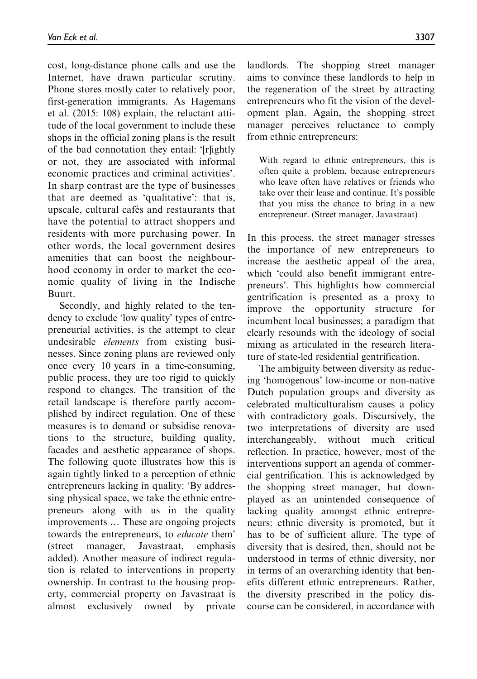cost, long-distance phone calls and use the Internet, have drawn particular scrutiny. Phone stores mostly cater to relatively poor, first-generation immigrants. As Hagemans et al. (2015: 108) explain, the reluctant attitude of the local government to include these shops in the official zoning plans is the result of the bad connotation they entail: '[r]ightly or not, they are associated with informal economic practices and criminal activities'. In sharp contrast are the type of businesses that are deemed as 'qualitative': that is, upscale, cultural cafés and restaurants that have the potential to attract shoppers and residents with more purchasing power. In other words, the local government desires amenities that can boost the neighbourhood economy in order to market the economic quality of living in the Indische Buurt.

Secondly, and highly related to the tendency to exclude 'low quality' types of entrepreneurial activities, is the attempt to clear undesirable elements from existing businesses. Since zoning plans are reviewed only once every 10 years in a time-consuming, public process, they are too rigid to quickly respond to changes. The transition of the retail landscape is therefore partly accomplished by indirect regulation. One of these measures is to demand or subsidise renovations to the structure, building quality, facades and aesthetic appearance of shops. The following quote illustrates how this is again tightly linked to a perception of ethnic entrepreneurs lacking in quality: 'By addressing physical space, we take the ethnic entrepreneurs along with us in the quality improvements ... These are ongoing projects towards the entrepreneurs, to educate them' (street manager, Javastraat, emphasis added). Another measure of indirect regulation is related to interventions in property ownership. In contrast to the housing property, commercial property on Javastraat is almost exclusively owned by private landlords. The shopping street manager aims to convince these landlords to help in the regeneration of the street by attracting entrepreneurs who fit the vision of the development plan. Again, the shopping street manager perceives reluctance to comply from ethnic entrepreneurs:

With regard to ethnic entrepreneurs, this is often quite a problem, because entrepreneurs who leave often have relatives or friends who take over their lease and continue. It's possible that you miss the chance to bring in a new entrepreneur. (Street manager, Javastraat)

In this process, the street manager stresses the importance of new entrepreneurs to increase the aesthetic appeal of the area, which 'could also benefit immigrant entrepreneurs'. This highlights how commercial gentrification is presented as a proxy to improve the opportunity structure for incumbent local businesses; a paradigm that clearly resounds with the ideology of social mixing as articulated in the research literature of state-led residential gentrification.

The ambiguity between diversity as reducing 'homogenous' low-income or non-native Dutch population groups and diversity as celebrated multiculturalism causes a policy with contradictory goals. Discursively, the two interpretations of diversity are used interchangeably, without much critical reflection. In practice, however, most of the interventions support an agenda of commercial gentrification. This is acknowledged by the shopping street manager, but downplayed as an unintended consequence of lacking quality amongst ethnic entrepreneurs: ethnic diversity is promoted, but it has to be of sufficient allure. The type of diversity that is desired, then, should not be understood in terms of ethnic diversity, nor in terms of an overarching identity that benefits different ethnic entrepreneurs. Rather, the diversity prescribed in the policy discourse can be considered, in accordance with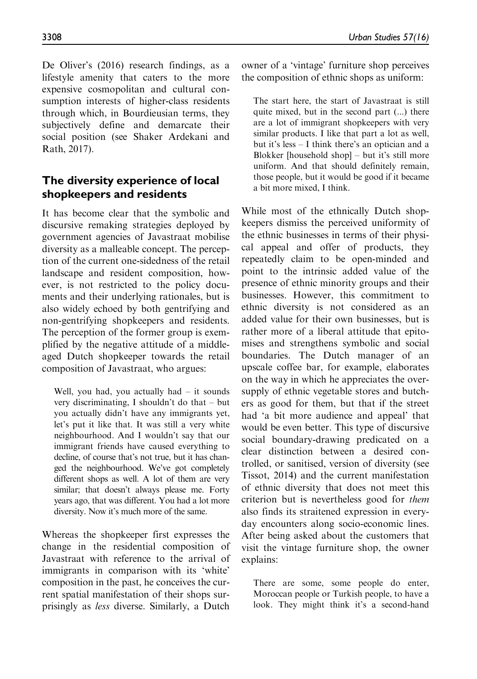De Oliver's (2016) research findings, as a lifestyle amenity that caters to the more expensive cosmopolitan and cultural consumption interests of higher-class residents through which, in Bourdieusian terms, they subjectively define and demarcate their social position (see Shaker Ardekani and Rath, 2017).

# The diversity experience of local shopkeepers and residents

It has become clear that the symbolic and discursive remaking strategies deployed by government agencies of Javastraat mobilise diversity as a malleable concept. The perception of the current one-sidedness of the retail landscape and resident composition, however, is not restricted to the policy documents and their underlying rationales, but is also widely echoed by both gentrifying and non-gentrifying shopkeepers and residents. The perception of the former group is exemplified by the negative attitude of a middleaged Dutch shopkeeper towards the retail composition of Javastraat, who argues:

Well, you had, you actually had  $-$  it sounds very discriminating, I shouldn't do that – but you actually didn't have any immigrants yet, let's put it like that. It was still a very white neighbourhood. And I wouldn't say that our immigrant friends have caused everything to decline, of course that's not true, but it has changed the neighbourhood. We've got completely different shops as well. A lot of them are very similar; that doesn't always please me. Forty years ago, that was different. You had a lot more diversity. Now it's much more of the same.

Whereas the shopkeeper first expresses the change in the residential composition of Javastraat with reference to the arrival of immigrants in comparison with its 'white' composition in the past, he conceives the current spatial manifestation of their shops surprisingly as less diverse. Similarly, a Dutch owner of a 'vintage' furniture shop perceives the composition of ethnic shops as uniform:

The start here, the start of Javastraat is still quite mixed, but in the second part (...) there are a lot of immigrant shopkeepers with very similar products. I like that part a lot as well, but it's less – I think there's an optician and a Blokker [household shop] – but it's still more uniform. And that should definitely remain, those people, but it would be good if it became a bit more mixed, I think.

While most of the ethnically Dutch shopkeepers dismiss the perceived uniformity of the ethnic businesses in terms of their physical appeal and offer of products, they repeatedly claim to be open-minded and point to the intrinsic added value of the presence of ethnic minority groups and their businesses. However, this commitment to ethnic diversity is not considered as an added value for their own businesses, but is rather more of a liberal attitude that epitomises and strengthens symbolic and social boundaries. The Dutch manager of an upscale coffee bar, for example, elaborates on the way in which he appreciates the oversupply of ethnic vegetable stores and butchers as good for them, but that if the street had 'a bit more audience and appeal' that would be even better. This type of discursive social boundary-drawing predicated on a clear distinction between a desired controlled, or sanitised, version of diversity (see Tissot, 2014) and the current manifestation of ethnic diversity that does not meet this criterion but is nevertheless good for them also finds its straitened expression in everyday encounters along socio-economic lines. After being asked about the customers that visit the vintage furniture shop, the owner explains:

There are some, some people do enter, Moroccan people or Turkish people, to have a look. They might think it's a second-hand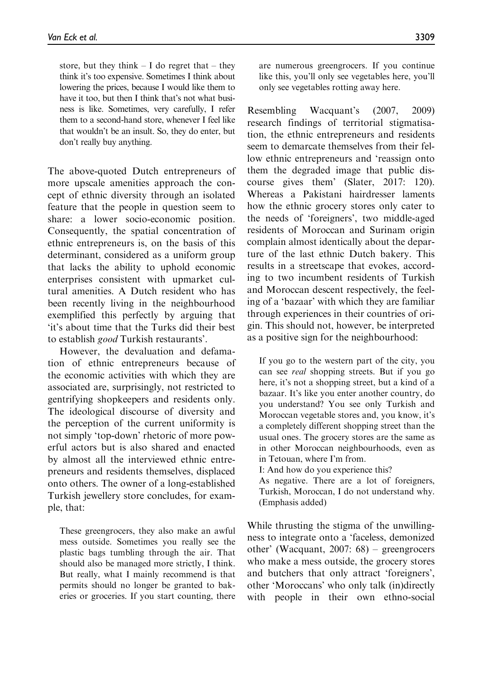store, but they think  $- I$  do regret that  $-$  they think it's too expensive. Sometimes I think about lowering the prices, because I would like them to have it too, but then I think that's not what business is like. Sometimes, very carefully, I refer them to a second-hand store, whenever I feel like that wouldn't be an insult. So, they do enter, but don't really buy anything.

The above-quoted Dutch entrepreneurs of more upscale amenities approach the concept of ethnic diversity through an isolated feature that the people in question seem to share: a lower socio-economic position. Consequently, the spatial concentration of ethnic entrepreneurs is, on the basis of this determinant, considered as a uniform group that lacks the ability to uphold economic enterprises consistent with upmarket cultural amenities. A Dutch resident who has been recently living in the neighbourhood exemplified this perfectly by arguing that 'it's about time that the Turks did their best to establish good Turkish restaurants'.

However, the devaluation and defamation of ethnic entrepreneurs because of the economic activities with which they are associated are, surprisingly, not restricted to gentrifying shopkeepers and residents only. The ideological discourse of diversity and the perception of the current uniformity is not simply 'top-down' rhetoric of more powerful actors but is also shared and enacted by almost all the interviewed ethnic entrepreneurs and residents themselves, displaced onto others. The owner of a long-established Turkish jewellery store concludes, for example, that:

These greengrocers, they also make an awful mess outside. Sometimes you really see the plastic bags tumbling through the air. That should also be managed more strictly, I think. But really, what I mainly recommend is that permits should no longer be granted to bakeries or groceries. If you start counting, there are numerous greengrocers. If you continue like this, you'll only see vegetables here, you'll only see vegetables rotting away here.

Resembling Wacquant's (2007, 2009) research findings of territorial stigmatisation, the ethnic entrepreneurs and residents seem to demarcate themselves from their fellow ethnic entrepreneurs and 'reassign onto them the degraded image that public discourse gives them' (Slater, 2017: 120). Whereas a Pakistani hairdresser laments how the ethnic grocery stores only cater to the needs of 'foreigners', two middle-aged residents of Moroccan and Surinam origin complain almost identically about the departure of the last ethnic Dutch bakery. This results in a streetscape that evokes, according to two incumbent residents of Turkish and Moroccan descent respectively, the feeling of a 'bazaar' with which they are familiar through experiences in their countries of origin. This should not, however, be interpreted as a positive sign for the neighbourhood:

If you go to the western part of the city, you can see real shopping streets. But if you go here, it's not a shopping street, but a kind of a bazaar. It's like you enter another country, do you understand? You see only Turkish and Moroccan vegetable stores and, you know, it's a completely different shopping street than the usual ones. The grocery stores are the same as in other Moroccan neighbourhoods, even as in Tetouan, where I'm from.

I: And how do you experience this?

As negative. There are a lot of foreigners, Turkish, Moroccan, I do not understand why. (Emphasis added)

While thrusting the stigma of the unwillingness to integrate onto a 'faceless, demonized other' (Wacquant, 2007: 68) – greengrocers who make a mess outside, the grocery stores and butchers that only attract 'foreigners', other 'Moroccans' who only talk (in)directly with people in their own ethno-social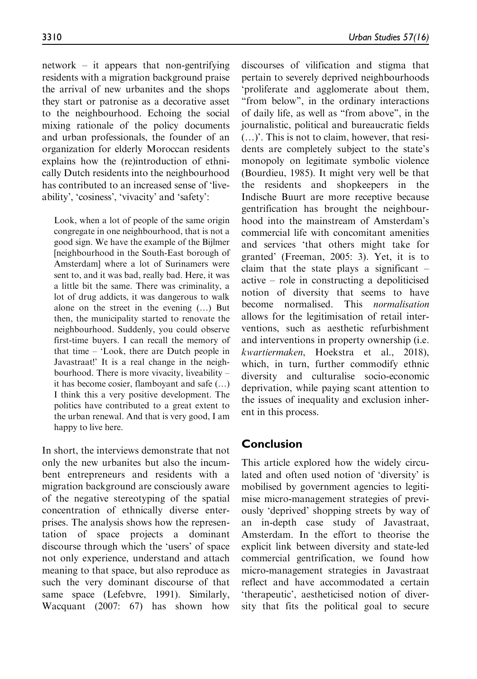network – it appears that non-gentrifying residents with a migration background praise the arrival of new urbanites and the shops they start or patronise as a decorative asset to the neighbourhood. Echoing the social mixing rationale of the policy documents and urban professionals, the founder of an organization for elderly Moroccan residents explains how the (re)introduction of ethnically Dutch residents into the neighbourhood has contributed to an increased sense of 'liveability', 'cosiness', 'vivacity' and 'safety':

Look, when a lot of people of the same origin congregate in one neighbourhood, that is not a good sign. We have the example of the Bijlmer [neighbourhood in the South-East borough of Amsterdam] where a lot of Surinamers were sent to, and it was bad, really bad. Here, it was a little bit the same. There was criminality, a lot of drug addicts, it was dangerous to walk alone on the street in the evening  $(...)$  But then, the municipality started to renovate the neighbourhood. Suddenly, you could observe first-time buyers. I can recall the memory of that time – 'Look, there are Dutch people in Javastraat!' It is a real change in the neighbourhood. There is more vivacity, liveability – it has become cosier, flamboyant and safe  $(...)$ I think this a very positive development. The politics have contributed to a great extent to the urban renewal. And that is very good, I am happy to live here.

In short, the interviews demonstrate that not only the new urbanites but also the incumbent entrepreneurs and residents with a migration background are consciously aware of the negative stereotyping of the spatial concentration of ethnically diverse enterprises. The analysis shows how the representation of space projects a dominant discourse through which the 'users' of space not only experience, understand and attach meaning to that space, but also reproduce as such the very dominant discourse of that same space (Lefebvre, 1991). Similarly, Wacquant (2007: 67) has shown how

discourses of vilification and stigma that pertain to severely deprived neighbourhoods 'proliferate and agglomerate about them, ''from below'', in the ordinary interactions of daily life, as well as ''from above'', in the journalistic, political and bureaucratic fields (.)'. This is not to claim, however, that residents are completely subject to the state's monopoly on legitimate symbolic violence (Bourdieu, 1985). It might very well be that the residents and shopkeepers in the Indische Buurt are more receptive because gentrification has brought the neighbourhood into the mainstream of Amsterdam's commercial life with concomitant amenities and services 'that others might take for granted' (Freeman, 2005: 3). Yet, it is to claim that the state plays a significant – active – role in constructing a depoliticised notion of diversity that seems to have become normalised. This normalisation allows for the legitimisation of retail interventions, such as aesthetic refurbishment and interventions in property ownership (i.e. kwartiermaken, Hoekstra et al., 2018), which, in turn, further commodify ethnic diversity and culturalise socio-economic deprivation, while paying scant attention to the issues of inequality and exclusion inherent in this process.

# Conclusion

This article explored how the widely circulated and often used notion of 'diversity' is mobilised by government agencies to legitimise micro-management strategies of previously 'deprived' shopping streets by way of an in-depth case study of Javastraat, Amsterdam. In the effort to theorise the explicit link between diversity and state-led commercial gentrification, we found how micro-management strategies in Javastraat reflect and have accommodated a certain 'therapeutic', aestheticised notion of diversity that fits the political goal to secure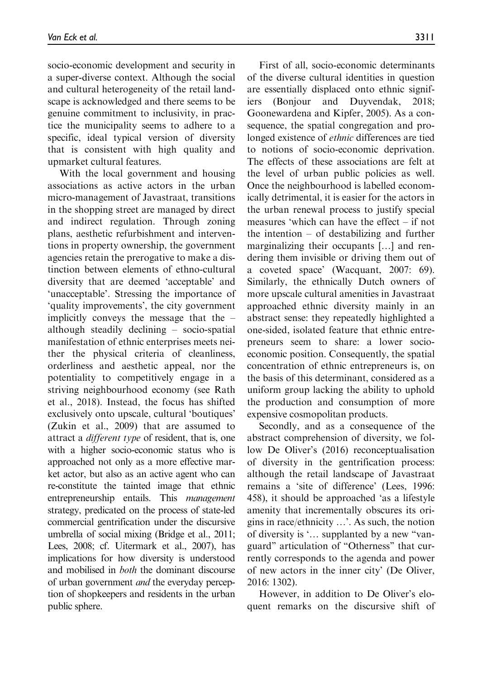socio-economic development and security in a super-diverse context. Although the social and cultural heterogeneity of the retail landscape is acknowledged and there seems to be genuine commitment to inclusivity, in practice the municipality seems to adhere to a specific, ideal typical version of diversity that is consistent with high quality and upmarket cultural features.

With the local government and housing associations as active actors in the urban micro-management of Javastraat, transitions in the shopping street are managed by direct and indirect regulation. Through zoning plans, aesthetic refurbishment and interventions in property ownership, the government agencies retain the prerogative to make a distinction between elements of ethno-cultural diversity that are deemed 'acceptable' and 'unacceptable'. Stressing the importance of 'quality improvements', the city government implicitly conveys the message that the – although steadily declining – socio-spatial manifestation of ethnic enterprises meets neither the physical criteria of cleanliness, orderliness and aesthetic appeal, nor the potentiality to competitively engage in a striving neighbourhood economy (see Rath et al., 2018). Instead, the focus has shifted exclusively onto upscale, cultural 'boutiques' (Zukin et al., 2009) that are assumed to attract a different type of resident, that is, one with a higher socio-economic status who is approached not only as a more effective market actor, but also as an active agent who can re-constitute the tainted image that ethnic entrepreneurship entails. This *management* strategy, predicated on the process of state-led commercial gentrification under the discursive umbrella of social mixing (Bridge et al., 2011; Lees, 2008; cf. Uitermark et al., 2007), has implications for how diversity is understood and mobilised in both the dominant discourse of urban government and the everyday perception of shopkeepers and residents in the urban public sphere.

First of all, socio-economic determinants of the diverse cultural identities in question are essentially displaced onto ethnic signifiers (Bonjour and Duyvendak, 2018; Goonewardena and Kipfer, 2005). As a consequence, the spatial congregation and prolonged existence of ethnic differences are tied to notions of socio-economic deprivation. The effects of these associations are felt at the level of urban public policies as well. Once the neighbourhood is labelled economically detrimental, it is easier for the actors in the urban renewal process to justify special measures 'which can have the effect – if not the intention – of destabilizing and further marginalizing their occupants [...] and rendering them invisible or driving them out of a coveted space' (Wacquant, 2007: 69). Similarly, the ethnically Dutch owners of more upscale cultural amenities in Javastraat approached ethnic diversity mainly in an abstract sense: they repeatedly highlighted a one-sided, isolated feature that ethnic entrepreneurs seem to share: a lower socioeconomic position. Consequently, the spatial concentration of ethnic entrepreneurs is, on the basis of this determinant, considered as a uniform group lacking the ability to uphold the production and consumption of more expensive cosmopolitan products.

Secondly, and as a consequence of the abstract comprehension of diversity, we follow De Oliver's (2016) reconceptualisation of diversity in the gentrification process: although the retail landscape of Javastraat remains a 'site of difference' (Lees, 1996: 458), it should be approached 'as a lifestyle amenity that incrementally obscures its origins in race/ethnicity ...'. As such, the notion of diversity is '... supplanted by a new "vanguard'' articulation of ''Otherness'' that currently corresponds to the agenda and power of new actors in the inner city' (De Oliver, 2016: 1302).

However, in addition to De Oliver's eloquent remarks on the discursive shift of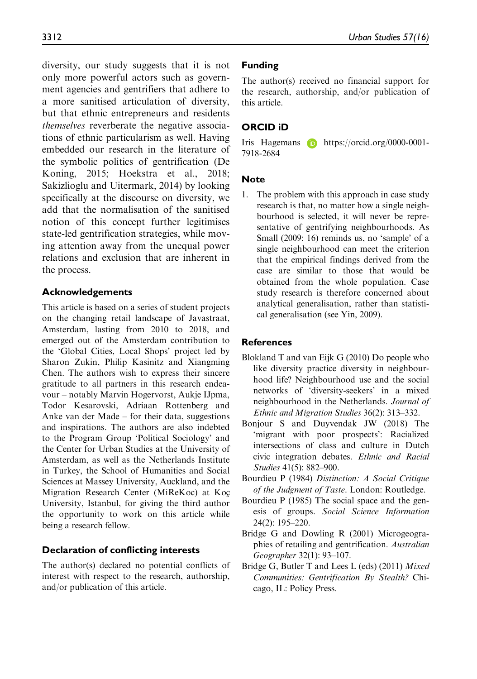diversity, our study suggests that it is not only more powerful actors such as government agencies and gentrifiers that adhere to a more sanitised articulation of diversity, but that ethnic entrepreneurs and residents themselves reverberate the negative associations of ethnic particularism as well. Having embedded our research in the literature of the symbolic politics of gentrification (De Koning, 2015; Hoekstra et al., 2018; Sakizlioglu and Uitermark, 2014) by looking specifically at the discourse on diversity, we add that the normalisation of the sanitised notion of this concept further legitimises state-led gentrification strategies, while moving attention away from the unequal power relations and exclusion that are inherent in the process.

### Acknowledgements

This article is based on a series of student projects on the changing retail landscape of Javastraat, Amsterdam, lasting from 2010 to 2018, and emerged out of the Amsterdam contribution to the 'Global Cities, Local Shops' project led by Sharon Zukin, Philip Kasinitz and Xiangming Chen. The authors wish to express their sincere gratitude to all partners in this research endeavour – notably Marvin Hogervorst, Aukje IJpma, Todor Kesarovski, Adriaan Rottenberg and Anke van der Made – for their data, suggestions and inspirations. The authors are also indebted to the Program Group 'Political Sociology' and the Center for Urban Studies at the University of Amsterdam, as well as the Netherlands Institute in Turkey, the School of Humanities and Social Sciences at Massey University, Auckland, and the Migration Research Center (MiReKoc) at Koc University, Istanbul, for giving the third author the opportunity to work on this article while being a research fellow.

### Declaration of conflicting interests

The author(s) declared no potential conflicts of interest with respect to the research, authorship, and/or publication of this article.

## Funding

The author(s) received no financial support for the research, authorship, and/or publication of this article.

# ORCID iD

Iris Hagemans **D** [https://orcid.org/0000-0001-](https://orcid.org/0000-0001-7918-2684) [7918-2684](https://orcid.org/0000-0001-7918-2684)

### **Note**

1. The problem with this approach in case study research is that, no matter how a single neighbourhood is selected, it will never be representative of gentrifying neighbourhoods. As Small (2009: 16) reminds us, no 'sample' of a single neighbourhood can meet the criterion that the empirical findings derived from the case are similar to those that would be obtained from the whole population. Case study research is therefore concerned about analytical generalisation, rather than statistical generalisation (see Yin, 2009).

### References

- Blokland T and van Eijk G (2010) Do people who like diversity practice diversity in neighbourhood life? Neighbourhood use and the social networks of 'diversity-seekers' in a mixed neighbourhood in the Netherlands. Journal of Ethnic and Migration Studies 36(2): 313–332.
- Bonjour S and Duyvendak JW (2018) The 'migrant with poor prospects': Racialized intersections of class and culture in Dutch civic integration debates. Ethnic and Racial Studies 41(5): 882–900.
- Bourdieu P (1984) Distinction: A Social Critique of the Judgment of Taste. London: Routledge.
- Bourdieu P (1985) The social space and the genesis of groups. Social Science Information 24(2): 195–220.
- Bridge G and Dowling R (2001) Microgeographies of retailing and gentrification. Australian Geographer 32(1): 93–107.
- Bridge G, Butler T and Lees L (eds) (2011) Mixed Communities: Gentrification By Stealth? Chicago, IL: Policy Press.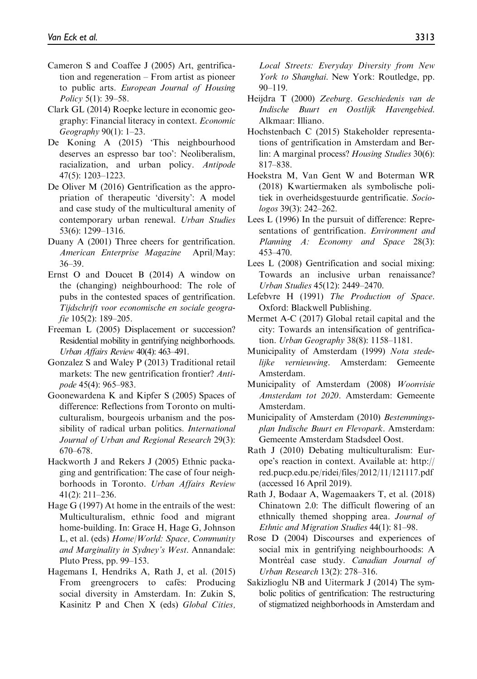- Cameron S and Coaffee J (2005) Art, gentrification and regeneration – From artist as pioneer to public arts. European Journal of Housing Policy 5(1): 39–58.
- Clark GL (2014) Roepke lecture in economic geography: Financial literacy in context. Economic Geography 90(1): 1–23.
- De Koning A (2015) 'This neighbourhood deserves an espresso bar too': Neoliberalism, racialization, and urban policy. Antipode 47(5): 1203–1223.
- De Oliver M (2016) Gentrification as the appropriation of therapeutic 'diversity': A model and case study of the multicultural amenity of contemporary urban renewal. Urban Studies 53(6): 1299–1316.
- Duany A (2001) Three cheers for gentrification. American Enterprise Magazine April/May: 36–39.
- Ernst O and Doucet B (2014) A window on the (changing) neighbourhood: The role of pubs in the contested spaces of gentrification. Tijdschrift voor economische en sociale geografie 105(2): 189–205.
- Freeman L (2005) Displacement or succession? Residential mobility in gentrifying neighborhoods. Urban Affairs Review 40(4): 463–491.
- Gonzalez S and Waley P (2013) Traditional retail markets: The new gentrification frontier? Antipode 45(4): 965–983.
- Goonewardena K and Kipfer S (2005) Spaces of difference: Reflections from Toronto on multiculturalism, bourgeois urbanism and the possibility of radical urban politics. International Journal of Urban and Regional Research 29(3): 670–678.
- Hackworth J and Rekers J (2005) Ethnic packaging and gentrification: The case of four neighborhoods in Toronto. Urban Affairs Review 41(2): 211–236.
- Hage G (1997) At home in the entrails of the west: Multiculturalism, ethnic food and migrant home-building. In: Grace H, Hage G, Johnson L, et al. (eds) Home/World: Space, Community and Marginality in Sydney's West. Annandale: Pluto Press, pp. 99–153.
- Hagemans I, Hendriks A, Rath J, et al. (2015) From greengrocers to cafés: Producing social diversity in Amsterdam. In: Zukin S, Kasinitz P and Chen X (eds) Global Cities,

Local Streets: Everyday Diversity from New York to Shanghai. New York: Routledge, pp. 90–119.

- Heijdra T (2000) Zeeburg. Geschiedenis van de Indische Buurt en Oostlijk Havengebied. Alkmaar: Illiano.
- Hochstenbach C (2015) Stakeholder representations of gentrification in Amsterdam and Berlin: A marginal process? Housing Studies 30(6): 817–838.
- Hoekstra M, Van Gent W and Boterman WR (2018) Kwartiermaken als symbolische politiek in overheidsgestuurde gentrificatie. Sociologos 39(3): 242–262.
- Lees L (1996) In the pursuit of difference: Representations of gentrification. Environment and Planning A: Economy and Space 28(3): 453–470.
- Lees L (2008) Gentrification and social mixing: Towards an inclusive urban renaissance? Urban Studies 45(12): 2449–2470.
- Lefebvre H (1991) The Production of Space. Oxford: Blackwell Publishing.
- Mermet A-C (2017) Global retail capital and the city: Towards an intensification of gentrification. Urban Geography 38(8): 1158–1181.
- Municipality of Amsterdam (1999) Nota stedelijke vernieuwing. Amsterdam: Gemeente Amsterdam.
- Municipality of Amsterdam (2008) Woonvisie Amsterdam tot 2020. Amsterdam: Gemeente Amsterdam.
- Municipality of Amsterdam (2010) Bestemmingsplan Indische Buurt en Flevopark. Amsterdam: Gemeente Amsterdam Stadsdeel Oost.
- Rath J (2010) Debating multiculturalism: Europe's reaction in context. Available at: [http://](http://red.pucp.edu.pe/ridei/files/2012/11/121117.pdf) [red.pucp.edu.pe/ridei/files/2012/11/121117.pdf](http://red.pucp.edu.pe/ridei/files/2012/11/121117.pdf) (accessed 16 April 2019).
- Rath J, Bodaar A, Wagemaakers T, et al. (2018) Chinatown 2.0: The difficult flowering of an ethnically themed shopping area. Journal of Ethnic and Migration Studies 44(1): 81–98.
- Rose D (2004) Discourses and experiences of social mix in gentrifying neighbourhoods: A Montréal case study. Canadian Journal of Urban Research 13(2): 278–316.
- Sakizlioglu NB and Uitermark J (2014) The symbolic politics of gentrification: The restructuring of stigmatized neighborhoods in Amsterdam and